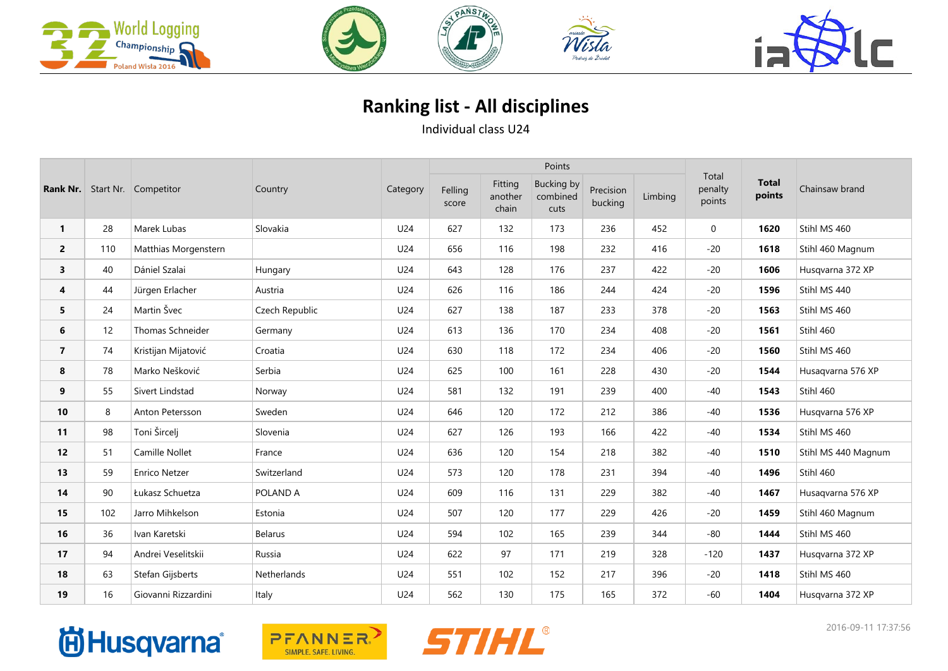





## **Ranking list - All disciplines**

Individual class U24

| Rank Nr.       |     | Start Nr. Competitor | Country        | Category |                  |                             | Points                                |                      |         |                            |                        |                     |
|----------------|-----|----------------------|----------------|----------|------------------|-----------------------------|---------------------------------------|----------------------|---------|----------------------------|------------------------|---------------------|
|                |     |                      |                |          | Felling<br>score | Fitting<br>another<br>chain | <b>Bucking by</b><br>combined<br>cuts | Precision<br>bucking | Limbing | Total<br>penalty<br>points | <b>Total</b><br>points | Chainsaw brand      |
| $\mathbf{1}$   | 28  | Marek Lubas          | Slovakia       | U24      | 627              | 132                         | 173                                   | 236                  | 452     | $\mathbf 0$                | 1620                   | Stihl MS 460        |
| $\overline{2}$ | 110 | Matthias Morgenstern |                | U24      | 656              | 116                         | 198                                   | 232                  | 416     | $-20$                      | 1618                   | Stihl 460 Magnum    |
| 3              | 40  | Dániel Szalai        | Hungary        | U24      | 643              | 128                         | 176                                   | 237                  | 422     | $-20$                      | 1606                   | Husqvarna 372 XP    |
| 4              | 44  | Jürgen Erlacher      | Austria        | U24      | 626              | 116                         | 186                                   | 244                  | 424     | $-20$                      | 1596                   | Stihl MS 440        |
| 5              | 24  | Martin Švec          | Czech Republic | U24      | 627              | 138                         | 187                                   | 233                  | 378     | $-20$                      | 1563                   | Stihl MS 460        |
| 6              | 12  | Thomas Schneider     | Germany        | U24      | 613              | 136                         | 170                                   | 234                  | 408     | $-20$                      | 1561                   | Stihl 460           |
| $\overline{7}$ | 74  | Kristijan Mijatović  | Croatia        | U24      | 630              | 118                         | 172                                   | 234                  | 406     | $-20$                      | 1560                   | Stihl MS 460        |
| 8              | 78  | Marko Nešković       | Serbia         | U24      | 625              | 100                         | 161                                   | 228                  | 430     | $-20$                      | 1544                   | Husaqvarna 576 XP   |
| 9              | 55  | Sivert Lindstad      | Norway         | U24      | 581              | 132                         | 191                                   | 239                  | 400     | $-40$                      | 1543                   | Stihl 460           |
| 10             | 8   | Anton Petersson      | Sweden         | U24      | 646              | 120                         | 172                                   | 212                  | 386     | $-40$                      | 1536                   | Husqvarna 576 XP    |
| 11             | 98  | Toni Šircelj         | Slovenia       | U24      | 627              | 126                         | 193                                   | 166                  | 422     | $-40$                      | 1534                   | Stihl MS 460        |
| 12             | 51  | Camille Nollet       | France         | U24      | 636              | 120                         | 154                                   | 218                  | 382     | $-40$                      | 1510                   | Stihl MS 440 Magnum |
| 13             | 59  | <b>Enrico Netzer</b> | Switzerland    | U24      | 573              | 120                         | 178                                   | 231                  | 394     | $-40$                      | 1496                   | Stihl 460           |
| 14             | 90  | Łukasz Schuetza      | POLAND A       | U24      | 609              | 116                         | 131                                   | 229                  | 382     | $-40$                      | 1467                   | Husaqvarna 576 XP   |
| 15             | 102 | Jarro Mihkelson      | Estonia        | U24      | 507              | 120                         | 177                                   | 229                  | 426     | $-20$                      | 1459                   | Stihl 460 Magnum    |
| 16             | 36  | Ivan Karetski        | <b>Belarus</b> | U24      | 594              | 102                         | 165                                   | 239                  | 344     | $-80$                      | 1444                   | Stihl MS 460        |
| 17             | 94  | Andrei Veselitskii   | Russia         | U24      | 622              | 97                          | 171                                   | 219                  | 328     | $-120$                     | 1437                   | Husqvarna 372 XP    |
| 18             | 63  | Stefan Gijsberts     | Netherlands    | U24      | 551              | 102                         | 152                                   | 217                  | 396     | $-20$                      | 1418                   | Stihl MS 460        |
| 19             | 16  | Giovanni Rizzardini  | Italy          | U24      | 562              | 130                         | 175                                   | 165                  | 372     | $-60$                      | 1404                   | Husqvarna 372 XP    |

## **尚Husqvarna**